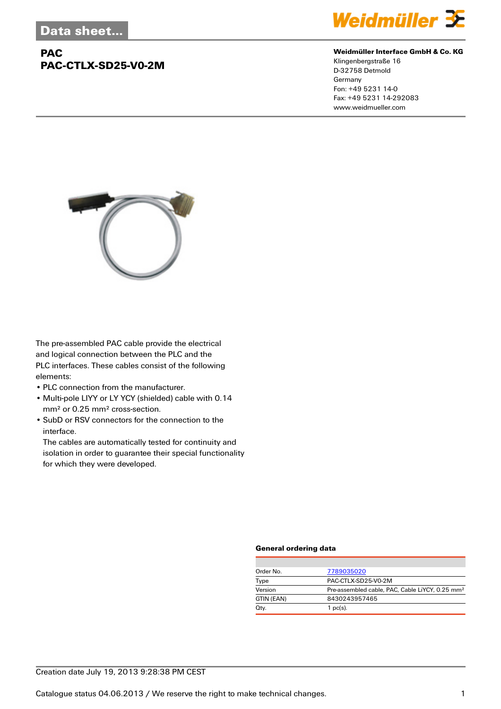# **PAC PAC-CTLX-SD25-V0-2M**



#### **Weidmüller Interface GmbH & Co. KG**

Klingenbergstraße 16 D-32758 Detmold Germany Fon: +49 5231 14-0 Fax: +49 5231 14-292083 www.weidmueller.com



The pre-assembled PAC cable provide the electrical and logical connection between the PLC and the PLC interfaces. These cables consist of the following elements:

- PLC connection from the manufacturer.
- Multi-pole LIYY or LY YCY (shielded) cable with 0.14 mm² or 0.25 mm² cross-section.
- SubD or RSV connectors for the connection to the interface.

The cables are automatically tested for continuity and isolation in order to guarantee their special functionality for which they were developed.

### **General ordering data**

| Order No.  | 7789035020                                                  |  |  |
|------------|-------------------------------------------------------------|--|--|
| Type       | PAC-CTLX-SD25-V0-2M                                         |  |  |
| Version    | Pre-assembled cable, PAC, Cable LiYCY, 0.25 mm <sup>2</sup> |  |  |
| GTIN (EAN) | 8430243957465                                               |  |  |
| Qty.       | $1$ pc(s).                                                  |  |  |